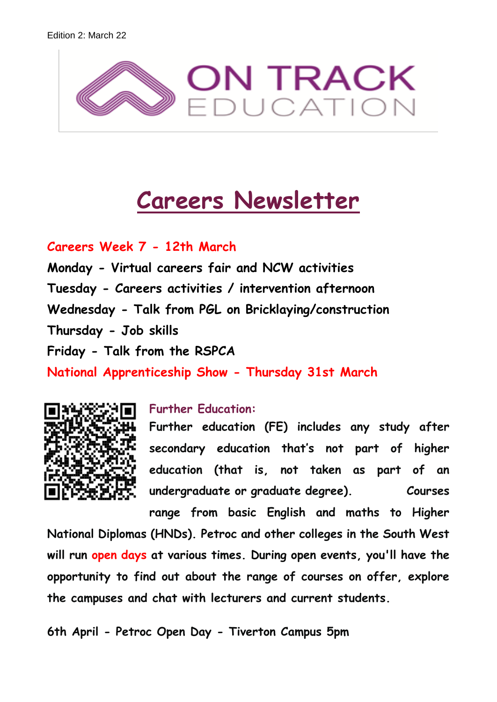

# **Careers Newsletter**

# **Careers Week 7 - 12th March**

**Monday - Virtual careers fair and NCW activities Tuesday - Careers activities / intervention afternoon Wednesday - Talk from PGL on Bricklaying/construction Thursday - Job skills Friday - Talk from the RSPCA National Apprenticeship Show - Thursday 31st March**



## **Further Education:**

**Further education (FE) includes any study after secondary education that's not part of higher education (that is, not taken as part of an undergraduate or graduate degree). Courses** 

**range from basic English and maths to Higher National Diplomas (HNDs). Petroc and other colleges in the South West will run open days at various times. During open events, you'll have the opportunity to find out about the range of courses on offer, explore the campuses and chat with lecturers and current students.** 

**6th April - Petroc Open Day - Tiverton Campus 5pm**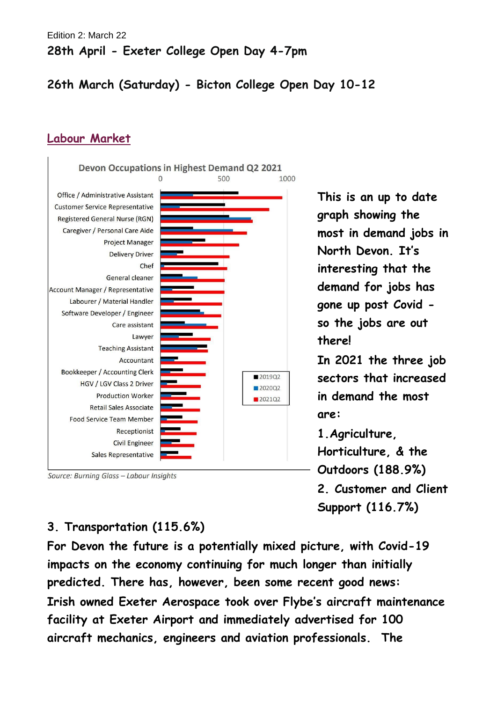# **26th March (Saturday) - Bicton College Open Day 10-12**

### **Labour Market**



Source: Burning Glass - Labour Insights

**This is an up to date graph showing the most in demand jobs in North Devon. It's interesting that the demand for jobs has gone up post Covid so the jobs are out there!** 

**In 2021 the three job sectors that increased in demand the most are:**

**1.Agriculture,** 

**Horticulture, & the Outdoors (188.9%) 2. Customer and Client Support (116.7%)**

#### **3. Transportation (115.6%)**

**For Devon the future is a potentially mixed picture, with Covid-19 impacts on the economy continuing for much longer than initially predicted. There has, however, been some recent good news: Irish owned Exeter Aerospace took over Flybe's aircraft maintenance facility at Exeter Airport and immediately advertised for 100 aircraft mechanics, engineers and aviation professionals. The**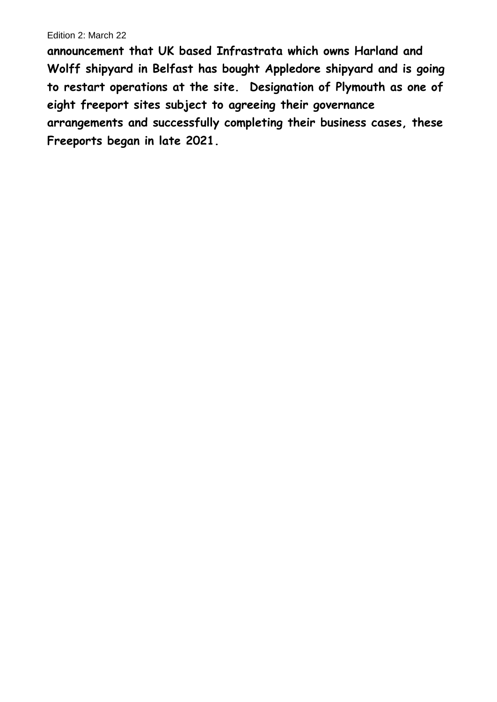**announcement that UK based Infrastrata which owns Harland and Wolff shipyard in Belfast has bought Appledore shipyard and is going to restart operations at the site. Designation of Plymouth as one of eight freeport sites subject to agreeing their governance arrangements and successfully completing their business cases, these Freeports began in late 2021.**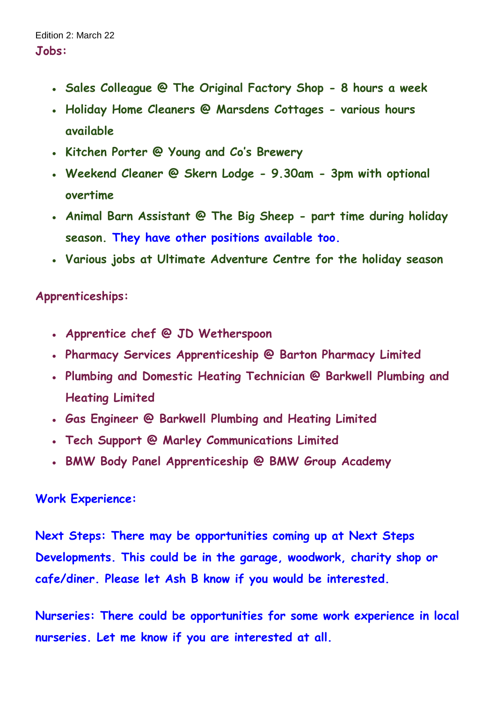- **Sales Colleague @ The Original Factory Shop - 8 hours a week**
- **Holiday Home Cleaners @ Marsdens Cottages - various hours available**
- **Kitchen Porter @ Young and Co's Brewery**
- **Weekend Cleaner @ Skern Lodge - 9.30am - 3pm with optional overtime**
- **Animal Barn Assistant @ The Big Sheep - part time during holiday season. They have other positions available too.**
- Various jobs at Ultimate Adventure Centre for the holiday season

# **Apprenticeships:**

- **Apprentice chef @ JD Wetherspoon**
- **Pharmacy Services Apprenticeship @ Barton Pharmacy Limited**
- **Plumbing and Domestic Heating Technician @ Barkwell Plumbing and Heating Limited**
- **Gas Engineer @ Barkwell Plumbing and Heating Limited**
- **Tech Support @ Marley Communications Limited**
- **BMW Body Panel Apprenticeship @ BMW Group Academy**

# **Work Experience:**

**Next Steps: There may be opportunities coming up at Next Steps Developments. This could be in the garage, woodwork, charity shop or cafe/diner. Please let Ash B know if you would be interested.**

**Nurseries: There could be opportunities for some work experience in local nurseries. Let me know if you are interested at all.**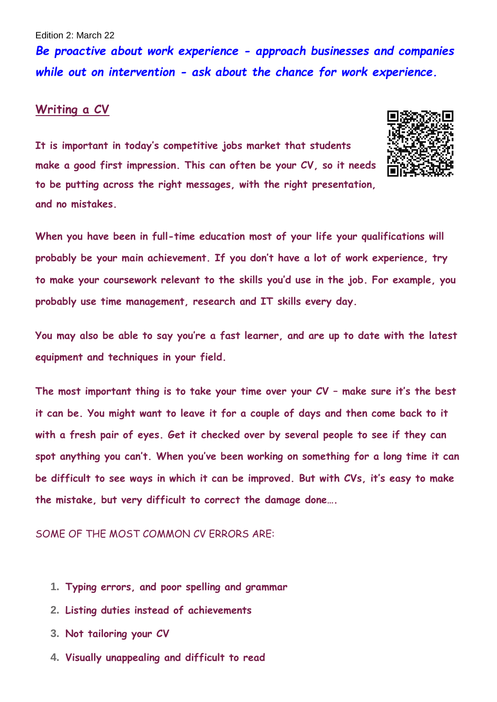*Be proactive about work experience - approach businesses and companies while out on intervention - ask about the chance for work experience.*

#### **Writing a CV**

**It is important in today's competitive jobs market that students make a good first impression. This can often be your CV, so it needs to be putting across the right messages, with the right presentation, and no mistakes.**



**When you have been in full-time education most of your life your qualifications will probably be your main achievement. If you don't have a lot of work experience, try to make your coursework relevant to the skills you'd use in the job. For example, you probably use time management, research and IT skills every day.**

**You may also be able to say you're a fast learner, and are up to date with the latest equipment and techniques in your field.**

**The most important thing is to take your time over your CV – make sure it's the best it can be. You might want to leave it for a couple of days and then come back to it with a fresh pair of eyes. Get it checked over by several people to see if they can spot anything you can't. When you've been working on something for a long time it can be difficult to see ways in which it can be improved. But with CVs, it's easy to make the mistake, but very difficult to correct the damage done….**

#### SOME OF THE MOST COMMON CV ERRORS ARE:

- **1. Typing errors, and poor spelling and grammar**
- **2. Listing duties instead of achievements**
- **3. Not tailoring your CV**
- **4. Visually unappealing and difficult to read**